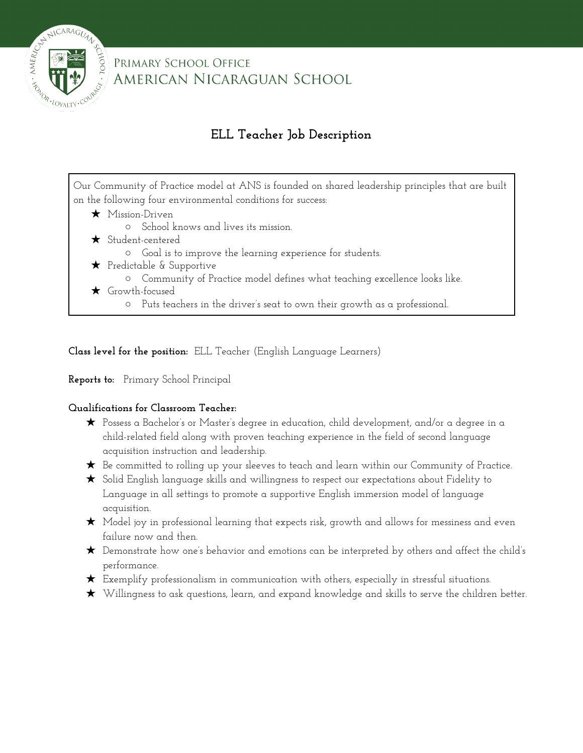

### PRIMARY SCHOOL OFFICE AMERICAN NICARAGUAN SCHOOL

## **ELL Teacher Job Description**

Our Community of Practice model at ANS is founded on shared leadership principles that are built on the following four environmental conditions for success:

- ★ Mission-Driven
	- School knows and lives its mission.
- ★ Student-centered
	- Goal is to improve the learning experience for students.
- ★ Predictable & Supportive
	- Community of Practice model defines what teaching excellence looks like.
- ★ Growth-focused
	- Puts teachers in the driver's seat to own their growth as a professional.

**Class level for the position:** ELL Teacher (English Language Learners)

#### **Reports to:** Primary School Principal

#### **Qualifications for Classroom Teacher:**

- ★ Possess a Bachelor's or Master's degree in education, child development, and/or a degree in a child-related field along with proven teaching experience in the field of second language acquisition instruction and leadership.
- ★ Be committed to rolling up your sleeves to teach and learn within our Community of Practice.
- ★ Solid English language skills and willingness to respect our expectations about Fidelity to Language in all settings to promote a supportive English immersion model of language acquisition.
- ★ Model joy in professional learning that expects risk, growth and allows for messiness and even failure now and then.
- ★ Demonstrate how one's behavior and emotions can be interpreted by others and affect the child's performance.
- ★ Exemplify professionalism in communication with others, especially in stressful situations.
- ★ Willingness to ask questions, learn, and expand knowledge and skills to serve the children better.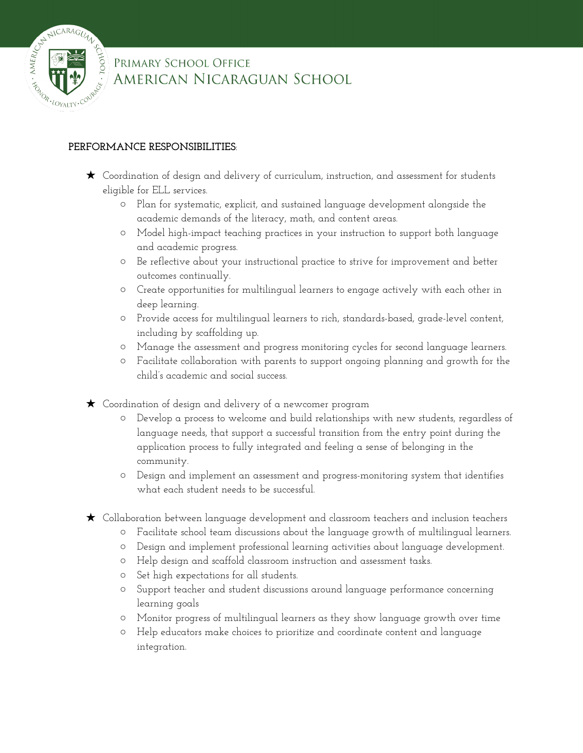

## PRIMARY SCHOOL OFFICE AMERICAN NICARAGUAN SCHOOL

#### **PERFORMANCE RESPONSIBILITIES**:

- ★ Coordination of design and delivery of curriculum, instruction, and assessment for students eligible for ELL services.
	- Plan for systematic, explicit, and sustained language development alongside the academic demands of the literacy, math, and content areas.
	- Model high-impact teaching practices in your instruction to support both language and academic progress.
	- Be reflective about your instructional practice to strive for improvement and better outcomes continually.
	- Create opportunities for multilingual learners to engage actively with each other in deep learning.
	- Provide access for multilingual learners to rich, standards-based, grade-level content, including by scaffolding up.
	- Manage the assessment and progress monitoring cycles for second language learners.
	- Facilitate collaboration with parents to support ongoing planning and growth for the child's academic and social success.
- ★ Coordination of design and delivery of a newcomer program
	- Develop a process to welcome and build relationships with new students, regardless of language needs, that support a successful transition from the entry point during the application process to fully integrated and feeling a sense of belonging in the community.
	- Design and implement an assessment and progress-monitoring system that identifies what each student needs to be successful.
- ★ Collaboration between language development and classroom teachers and inclusion teachers
	- Facilitate school team discussions about the language growth of multilingual learners.
	- Design and implement professional learning activities about language development.
	- Help design and scaffold classroom instruction and assessment tasks.
	- Set high expectations for all students.
	- Support teacher and student discussions around language performance concerning learning goals
	- Monitor progress of multilingual learners as they show language growth over time
	- Help educators make choices to prioritize and coordinate content and language integration.